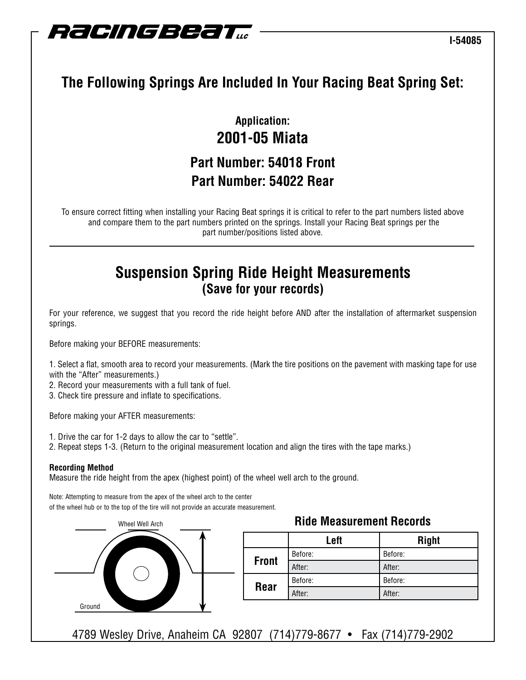

# **The Following Springs Are Included In Your Racing Beat Spring Set:**

## **Application: 2001-05 Miata Part Number: 54018 Front Part Number: 54022 Rear**

To ensure correct fitting when installing your Racing Beat springs it is critical to refer to the part numbers listed above and compare them to the part numbers printed on the springs. Install your Racing Beat springs per the part number/positions listed above.

### **Suspension Spring Ride Height Measurements (Save for your records)**

For your reference, we suggest that you record the ride height before AND after the installation of aftermarket suspension springs.

Before making your BEFORE measurements:

1. Select a flat, smooth area to record your measurements. (Mark the tire positions on the pavement with masking tape for use with the "After" measurements.)

2. Record your measurements with a full tank of fuel.

3. Check tire pressure and inflate to specifications.

Before making your AFTER measurements:

- 1. Drive the car for 1-2 days to allow the car to "settle".
- 2. Repeat steps 1-3. (Return to the original measurement location and align the tires with the tape marks.)

#### **Recording Method**

Measure the ride height from the apex (highest point) of the wheel well arch to the ground.

Note: Attempting to measure from the apex of the wheel arch to the center of the wheel hub or to the top of the tire will not provide an accurate measurement.



|              | Left    | <b>Right</b> |
|--------------|---------|--------------|
| <b>Front</b> | Before: | Before:      |
|              | After:  | After:       |
| <b>Rear</b>  | Before: | Before:      |
|              | After:  | After:       |

4789 Wesley Drive, Anaheim CA 92807 (714)779-8677 • Fax (714)779-2902

### **Ride Measurement Records**